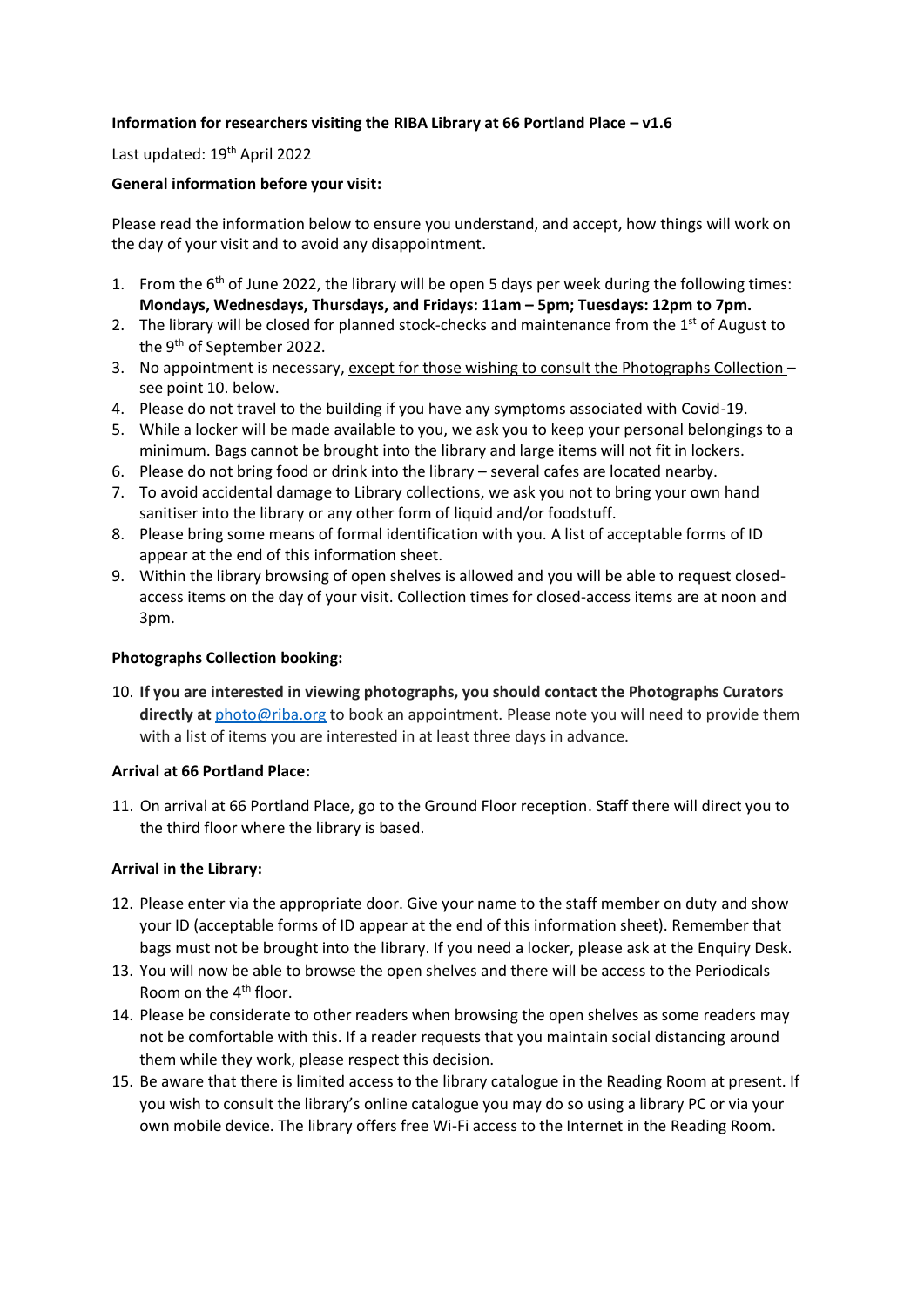# **Information for researchers visiting the RIBA Library at 66 Portland Place – v1.6**

Last updated: 19<sup>th</sup> April 2022

### **General information before your visit:**

Please read the information below to ensure you understand, and accept, how things will work on the day of your visit and to avoid any disappointment.

- 1. From the  $6<sup>th</sup>$  of June 2022, the library will be open 5 days per week during the following times: **Mondays, Wednesdays, Thursdays, and Fridays: 11am – 5pm; Tuesdays: 12pm to 7pm.**
- 2. The library will be closed for planned stock-checks and maintenance from the  $1<sup>st</sup>$  of August to the 9<sup>th</sup> of September 2022.
- 3. No appointment is necessary, except for those wishing to consult the Photographs Collection see point 10. below.
- 4. Please do not travel to the building if you have any symptoms associated with Covid-19.
- 5. While a locker will be made available to you, we ask you to keep your personal belongings to a minimum. Bags cannot be brought into the library and large items will not fit in lockers.
- 6. Please do not bring food or drink into the library several cafes are located nearby.
- 7. To avoid accidental damage to Library collections, we ask you not to bring your own hand sanitiser into the library or any other form of liquid and/or foodstuff.
- 8. Please bring some means of formal identification with you. A list of acceptable forms of ID appear at the end of this information sheet.
- 9. Within the library browsing of open shelves is allowed and you will be able to request closedaccess items on the day of your visit. Collection times for closed-access items are at noon and 3pm.

### **Photographs Collection booking:**

10. **If you are interested in viewing photographs, you should contact the Photographs Curators directly at** [photo@riba.org](mailto:photo@riba.org) to book an appointment. Please note you will need to provide them with a list of items you are interested in at least three days in advance.

### **Arrival at 66 Portland Place:**

11. On arrival at 66 Portland Place, go to the Ground Floor reception. Staff there will direct you to the third floor where the library is based.

### **Arrival in the Library:**

- 12. Please enter via the appropriate door. Give your name to the staff member on duty and show your ID (acceptable forms of ID appear at the end of this information sheet). Remember that bags must not be brought into the library. If you need a locker, please ask at the Enquiry Desk.
- 13. You will now be able to browse the open shelves and there will be access to the Periodicals Room on the 4<sup>th</sup> floor.
- 14. Please be considerate to other readers when browsing the open shelves as some readers may not be comfortable with this. If a reader requests that you maintain social distancing around them while they work, please respect this decision.
- 15. Be aware that there is limited access to the library catalogue in the Reading Room at present. If you wish to consult the library's online catalogue you may do so using a library PC or via your own mobile device. The library offers free Wi-Fi access to the Internet in the Reading Room.